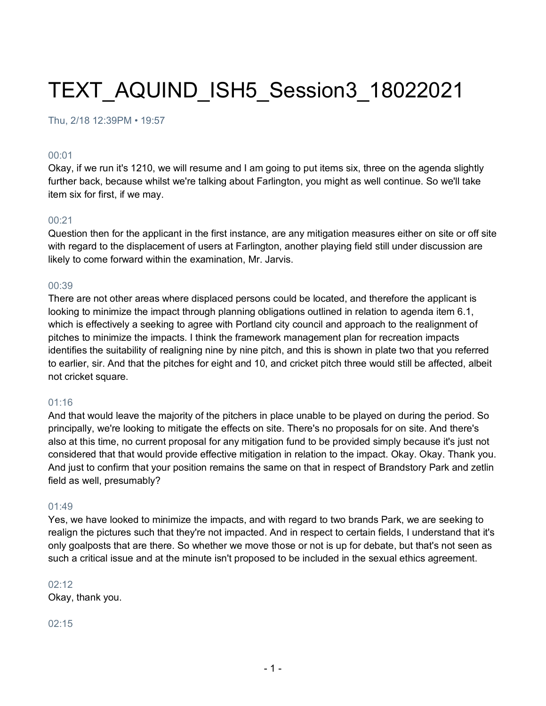# TEXT\_AQUIND\_ISH5\_Session3\_18022021

Thu, 2/18 12:39PM • 19:57

#### 00:01

Okay, if we run it's 1210, we will resume and I am going to put items six, three on the agenda slightly further back, because whilst we're talking about Farlington, you might as well continue. So we'll take item six for first, if we may.

#### 00:21

Question then for the applicant in the first instance, are any mitigation measures either on site or off site with regard to the displacement of users at Farlington, another playing field still under discussion are likely to come forward within the examination, Mr. Jarvis.

#### 00:39

There are not other areas where displaced persons could be located, and therefore the applicant is looking to minimize the impact through planning obligations outlined in relation to agenda item 6.1, which is effectively a seeking to agree with Portland city council and approach to the realignment of pitches to minimize the impacts. I think the framework management plan for recreation impacts identifies the suitability of realigning nine by nine pitch, and this is shown in plate two that you referred to earlier, sir. And that the pitches for eight and 10, and cricket pitch three would still be affected, albeit not cricket square.

#### 01:16

And that would leave the majority of the pitchers in place unable to be played on during the period. So principally, we're looking to mitigate the effects on site. There's no proposals for on site. And there's also at this time, no current proposal for any mitigation fund to be provided simply because it's just not considered that that would provide effective mitigation in relation to the impact. Okay. Okay. Thank you. And just to confirm that your position remains the same on that in respect of Brandstory Park and zetlin field as well, presumably?

#### 01:49

Yes, we have looked to minimize the impacts, and with regard to two brands Park, we are seeking to realign the pictures such that they're not impacted. And in respect to certain fields, I understand that it's only goalposts that are there. So whether we move those or not is up for debate, but that's not seen as such a critical issue and at the minute isn't proposed to be included in the sexual ethics agreement.

#### 02:12

Okay, thank you.

#### 02:15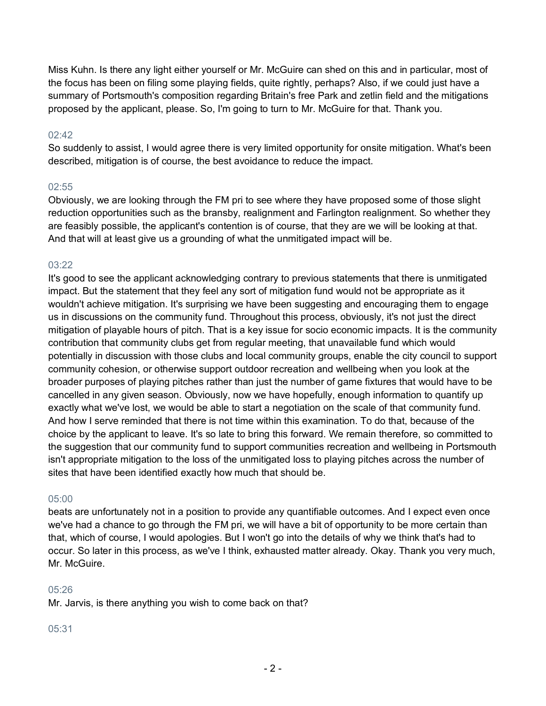Miss Kuhn. Is there any light either yourself or Mr. McGuire can shed on this and in particular, most of the focus has been on filing some playing fields, quite rightly, perhaps? Also, if we could just have a summary of Portsmouth's composition regarding Britain's free Park and zetlin field and the mitigations proposed by the applicant, please. So, I'm going to turn to Mr. McGuire for that. Thank you.

# 02:42

So suddenly to assist, I would agree there is very limited opportunity for onsite mitigation. What's been described, mitigation is of course, the best avoidance to reduce the impact.

#### 02:55

Obviously, we are looking through the FM pri to see where they have proposed some of those slight reduction opportunities such as the bransby, realignment and Farlington realignment. So whether they are feasibly possible, the applicant's contention is of course, that they are we will be looking at that. And that will at least give us a grounding of what the unmitigated impact will be.

# 03:22

It's good to see the applicant acknowledging contrary to previous statements that there is unmitigated impact. But the statement that they feel any sort of mitigation fund would not be appropriate as it wouldn't achieve mitigation. It's surprising we have been suggesting and encouraging them to engage us in discussions on the community fund. Throughout this process, obviously, it's not just the direct mitigation of playable hours of pitch. That is a key issue for socio economic impacts. It is the community contribution that community clubs get from regular meeting, that unavailable fund which would potentially in discussion with those clubs and local community groups, enable the city council to support community cohesion, or otherwise support outdoor recreation and wellbeing when you look at the broader purposes of playing pitches rather than just the number of game fixtures that would have to be cancelled in any given season. Obviously, now we have hopefully, enough information to quantify up exactly what we've lost, we would be able to start a negotiation on the scale of that community fund. And how I serve reminded that there is not time within this examination. To do that, because of the choice by the applicant to leave. It's so late to bring this forward. We remain therefore, so committed to the suggestion that our community fund to support communities recreation and wellbeing in Portsmouth isn't appropriate mitigation to the loss of the unmitigated loss to playing pitches across the number of sites that have been identified exactly how much that should be.

#### 05:00

beats are unfortunately not in a position to provide any quantifiable outcomes. And I expect even once we've had a chance to go through the FM pri, we will have a bit of opportunity to be more certain than that, which of course, I would apologies. But I won't go into the details of why we think that's had to occur. So later in this process, as we've I think, exhausted matter already. Okay. Thank you very much, Mr. McGuire.

#### $05:26$

Mr. Jarvis, is there anything you wish to come back on that?

#### 05:31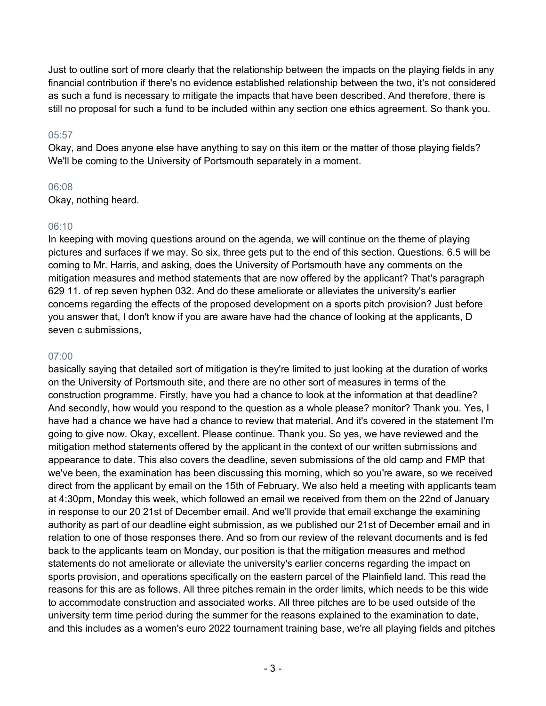Just to outline sort of more clearly that the relationship between the impacts on the playing fields in any financial contribution if there's no evidence established relationship between the two, it's not considered as such a fund is necessary to mitigate the impacts that have been described. And therefore, there is still no proposal for such a fund to be included within any section one ethics agreement. So thank you.

# 05:57

Okay, and Does anyone else have anything to say on this item or the matter of those playing fields? We'll be coming to the University of Portsmouth separately in a moment.

# 06:08

Okay, nothing heard.

# 06:10

In keeping with moving questions around on the agenda, we will continue on the theme of playing pictures and surfaces if we may. So six, three gets put to the end of this section. Questions. 6.5 will be coming to Mr. Harris, and asking, does the University of Portsmouth have any comments on the mitigation measures and method statements that are now offered by the applicant? That's paragraph 629 11. of rep seven hyphen 032. And do these ameliorate or alleviates the university's earlier concerns regarding the effects of the proposed development on a sports pitch provision? Just before you answer that, I don't know if you are aware have had the chance of looking at the applicants, D seven c submissions,

# 07:00

basically saying that detailed sort of mitigation is they're limited to just looking at the duration of works on the University of Portsmouth site, and there are no other sort of measures in terms of the construction programme. Firstly, have you had a chance to look at the information at that deadline? And secondly, how would you respond to the question as a whole please? monitor? Thank you. Yes, I have had a chance we have had a chance to review that material. And it's covered in the statement I'm going to give now. Okay, excellent. Please continue. Thank you. So yes, we have reviewed and the mitigation method statements offered by the applicant in the context of our written submissions and appearance to date. This also covers the deadline, seven submissions of the old camp and FMP that we've been, the examination has been discussing this morning, which so you're aware, so we received direct from the applicant by email on the 15th of February. We also held a meeting with applicants team at 4:30pm, Monday this week, which followed an email we received from them on the 22nd of January in response to our 20 21st of December email. And we'll provide that email exchange the examining authority as part of our deadline eight submission, as we published our 21st of December email and in relation to one of those responses there. And so from our review of the relevant documents and is fed back to the applicants team on Monday, our position is that the mitigation measures and method statements do not ameliorate or alleviate the university's earlier concerns regarding the impact on sports provision, and operations specifically on the eastern parcel of the Plainfield land. This read the reasons for this are as follows. All three pitches remain in the order limits, which needs to be this wide to accommodate construction and associated works. All three pitches are to be used outside of the university term time period during the summer for the reasons explained to the examination to date, and this includes as a women's euro 2022 tournament training base, we're all playing fields and pitches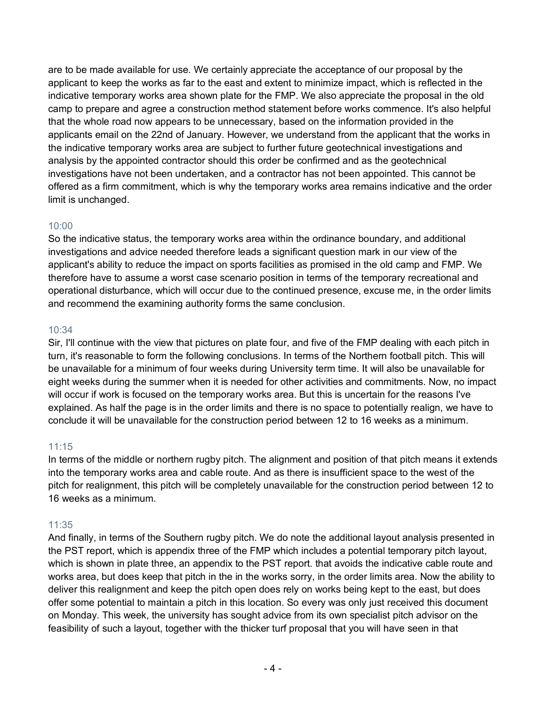are to be made available for use. We certainly appreciate the acceptance of our proposal by the applicant to keep the works as far to the east and extent to minimize impact, which is reflected in the indicative temporary works area shown plate for the FMP. We also appreciate the proposal in the old camp to prepare and agree a construction method statement before works commence. It's also helpful that the whole road now appears to be unnecessary, based on the information provided in the applicants email on the 22nd of January. However, we understand from the applicant that the works in the indicative temporary works area are subject to further future geotechnical investigations and analysis by the appointed contractor should this order be confirmed and as the geotechnical investigations have not been undertaken, and a contractor has not been appointed. This cannot be offered as a firm commitment, which is why the temporary works area remains indicative and the order limit is unchanged.

# 10:00

So the indicative status, the temporary works area within the ordinance boundary, and additional investigations and advice needed therefore leads a significant question mark in our view of the applicant's ability to reduce the impact on sports facilities as promised in the old camp and FMP. We therefore have to assume a worst case scenario position in terms of the temporary recreational and operational disturbance, which will occur due to the continued presence, excuse me, in the order limits and recommend the examining authority forms the same conclusion.

# 10:34

Sir, I'll continue with the view that pictures on plate four, and five of the FMP dealing with each pitch in turn, it's reasonable to form the following conclusions. In terms of the Northern football pitch. This will be unavailable for a minimum of four weeks during University term time. It will also be unavailable for eight weeks during the summer when it is needed for other activities and commitments. Now, no impact will occur if work is focused on the temporary works area. But this is uncertain for the reasons I've explained. As half the page is in the order limits and there is no space to potentially realign, we have to conclude it will be unavailable for the construction period between 12 to 16 weeks as a minimum.

# 11:15

In terms of the middle or northern rugby pitch. The alignment and position of that pitch means it extends into the temporary works area and cable route. And as there is insufficient space to the west of the pitch for realignment, this pitch will be completely unavailable for the construction period between 12 to 16 weeks as a minimum.

# 11:35

And finally, in terms of the Southern rugby pitch. We do note the additional layout analysis presented in the PST report, which is appendix three of the FMP which includes a potential temporary pitch layout, which is shown in plate three, an appendix to the PST report. that avoids the indicative cable route and works area, but does keep that pitch in the in the works sorry, in the order limits area. Now the ability to deliver this realignment and keep the pitch open does rely on works being kept to the east, but does offer some potential to maintain a pitch in this location. So every was only just received this document on Monday. This week, the university has sought advice from its own specialist pitch advisor on the feasibility of such a layout, together with the thicker turf proposal that you will have seen in that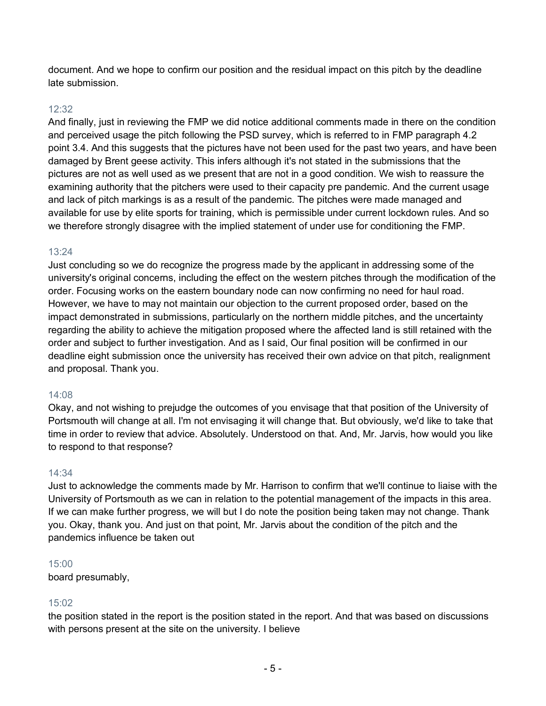document. And we hope to confirm our position and the residual impact on this pitch by the deadline late submission.

### 12:32

And finally, just in reviewing the FMP we did notice additional comments made in there on the condition and perceived usage the pitch following the PSD survey, which is referred to in FMP paragraph 4.2 point 3.4. And this suggests that the pictures have not been used for the past two years, and have been damaged by Brent geese activity. This infers although it's not stated in the submissions that the pictures are not as well used as we present that are not in a good condition. We wish to reassure the examining authority that the pitchers were used to their capacity pre pandemic. And the current usage and lack of pitch markings is as a result of the pandemic. The pitches were made managed and available for use by elite sports for training, which is permissible under current lockdown rules. And so we therefore strongly disagree with the implied statement of under use for conditioning the FMP.

#### 13:24

Just concluding so we do recognize the progress made by the applicant in addressing some of the university's original concerns, including the effect on the western pitches through the modification of the order. Focusing works on the eastern boundary node can now confirming no need for haul road. However, we have to may not maintain our objection to the current proposed order, based on the impact demonstrated in submissions, particularly on the northern middle pitches, and the uncertainty regarding the ability to achieve the mitigation proposed where the affected land is still retained with the order and subject to further investigation. And as I said, Our final position will be confirmed in our deadline eight submission once the university has received their own advice on that pitch, realignment and proposal. Thank you.

#### 14:08

Okay, and not wishing to prejudge the outcomes of you envisage that that position of the University of Portsmouth will change at all. I'm not envisaging it will change that. But obviously, we'd like to take that time in order to review that advice. Absolutely. Understood on that. And, Mr. Jarvis, how would you like to respond to that response?

#### 14:34

Just to acknowledge the comments made by Mr. Harrison to confirm that we'll continue to liaise with the University of Portsmouth as we can in relation to the potential management of the impacts in this area. If we can make further progress, we will but I do note the position being taken may not change. Thank you. Okay, thank you. And just on that point, Mr. Jarvis about the condition of the pitch and the pandemics influence be taken out

#### 15:00

board presumably,

# 15:02

the position stated in the report is the position stated in the report. And that was based on discussions with persons present at the site on the university. I believe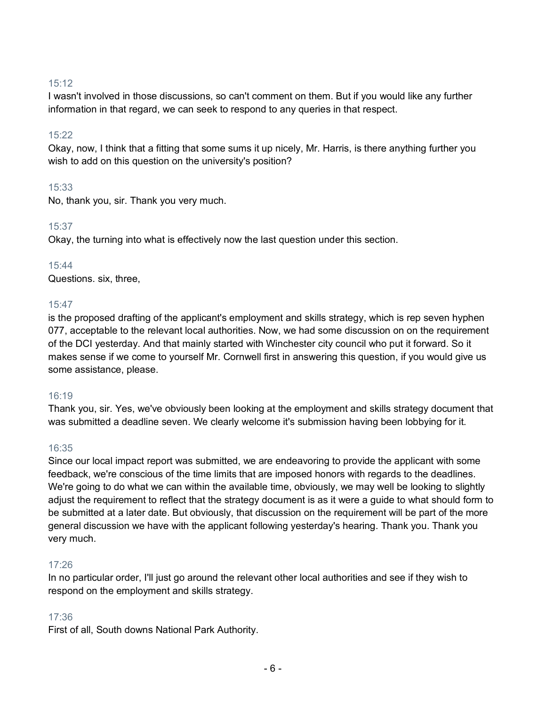# 15:12

I wasn't involved in those discussions, so can't comment on them. But if you would like any further information in that regard, we can seek to respond to any queries in that respect.

# 15:22

Okay, now, I think that a fitting that some sums it up nicely, Mr. Harris, is there anything further you wish to add on this question on the university's position?

# 15:33

No, thank you, sir. Thank you very much.

# 15:37

Okay, the turning into what is effectively now the last question under this section.

# 15:44

Questions. six, three,

# 15:47

is the proposed drafting of the applicant's employment and skills strategy, which is rep seven hyphen 077, acceptable to the relevant local authorities. Now, we had some discussion on on the requirement of the DCI yesterday. And that mainly started with Winchester city council who put it forward. So it makes sense if we come to yourself Mr. Cornwell first in answering this question, if you would give us some assistance, please.

#### 16:19

Thank you, sir. Yes, we've obviously been looking at the employment and skills strategy document that was submitted a deadline seven. We clearly welcome it's submission having been lobbying for it.

#### 16:35

Since our local impact report was submitted, we are endeavoring to provide the applicant with some feedback, we're conscious of the time limits that are imposed honors with regards to the deadlines. We're going to do what we can within the available time, obviously, we may well be looking to slightly adjust the requirement to reflect that the strategy document is as it were a guide to what should form to be submitted at a later date. But obviously, that discussion on the requirement will be part of the more general discussion we have with the applicant following yesterday's hearing. Thank you. Thank you very much.

#### 17:26

In no particular order, I'll just go around the relevant other local authorities and see if they wish to respond on the employment and skills strategy.

# 17:36

First of all, South downs National Park Authority.